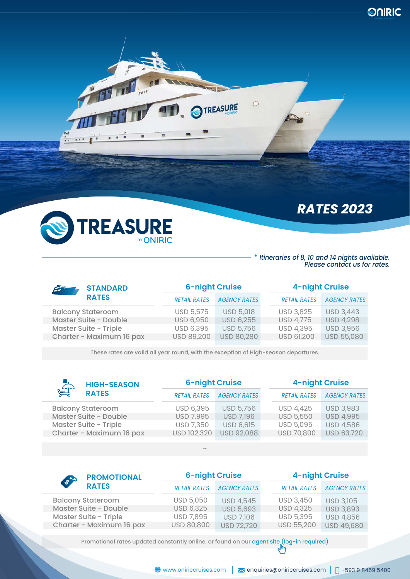

FINI

**Lawpat** 

# *RATES 2023*

#### **\*** *Itineraries of 8, 10 and 14 nights available. Please contact us for rates.*

| <b>STANDARD</b>              | <b>6-night Cruise</b> |                     | <b>4-night Cruise</b> |                     |
|------------------------------|-----------------------|---------------------|-----------------------|---------------------|
| <b>RATES</b>                 | <b>RETAIL RATES</b>   | <b>AGENCY RATES</b> | <b>RETAIL RATES</b>   | <b>AGENCY RATES</b> |
| <b>Balcony Stateroom</b>     | USD 5,575             | <b>USD 5,018</b>    | <b>USD 3,825</b>      | <b>USD 3,443</b>    |
| <b>Master Suite - Double</b> | <b>USD 6,950</b>      | <b>USD 6,255</b>    | <b>USD 4,775</b>      | <b>USD 4,298</b>    |
| <b>Master Suite - Triple</b> | USD 6,395             | <b>USD 5,756</b>    | <b>USD 4,395</b>      | <b>USD 3,956</b>    |
| Charter - Maximum 16 pax     | <b>USD 89,200</b>     | USD 80,280          | <b>USD 61,200</b>     | <b>USD 55,080</b>   |
|                              |                       |                     |                       |                     |

 $\overline{\mathbb{C}}$ 

**TREASURE** 

These rates are valid all year round, with the exception of High-season departures.

| <b>Algebra</b><br><b>HIGH-SEASON</b> | <b>6-night Cruise</b> |                     | <b>4-night Cruise</b> |                     |
|--------------------------------------|-----------------------|---------------------|-----------------------|---------------------|
| <b>RATES</b>                         | <b>RETAIL RATES</b>   | <b>AGENCY RATES</b> | <b>RETAIL RATES</b>   | <b>AGENCY RATES</b> |
| <b>Balcony Stateroom</b>             | USD 6,395             | <b>USD 5,756</b>    | <b>USD 4,425</b>      | <b>USD 3,983</b>    |
| Master Suite - Double                | <b>USD 7,995</b>      | <b>USD 7,196</b>    | <b>USD 5,550</b>      | <b>USD 4,995</b>    |
| <b>Master Suite - Triple</b>         | <b>USD 7,350</b>      | <b>USD 6,615</b>    | USD 5,095             | <b>USD 4,586</b>    |
| Charter - Maximum 16 pax             | USD 102,320           | <b>USD 92,088</b>   | USD 70,800            | <b>USD 63,720</b>   |
|                                      |                       |                     |                       |                     |

--

| <b>PROMOTIONAL</b><br>67<br><b>RATES</b> | <b>6-night Cruise</b> |                     | <b>4-night Cruise</b> |                     |
|------------------------------------------|-----------------------|---------------------|-----------------------|---------------------|
|                                          | <b>RETAIL RATES</b>   | <b>AGENCY RATES</b> | <b>RETAIL RATES</b>   | <b>AGENCY RATES</b> |
| <b>Balcony Stateroom</b>                 | USD 5,050             | <b>USD 4,545</b>    | <b>USD 3,450</b>      | <b>USD 3,105</b>    |
| Master Suite - Double                    | <b>USD 6,325</b>      | <b>USD 5,693</b>    | <b>USD 4,325</b>      | <b>USD 3,893</b>    |
| Master Suite - Triple                    | <b>USD 7,895</b>      | <b>USD 7,106</b>    | <b>USD 5,395</b>      | <b>USD 4,856</b>    |
| Charter - Maximum 16 pax                 | USD 80,800            | <b>USD 72,720</b>   | USD 55,200            | USD 49,680          |

Promotional rates updated constantly online, or found on our agent site (log-in required)  $\binom{h_m}{f_m}$